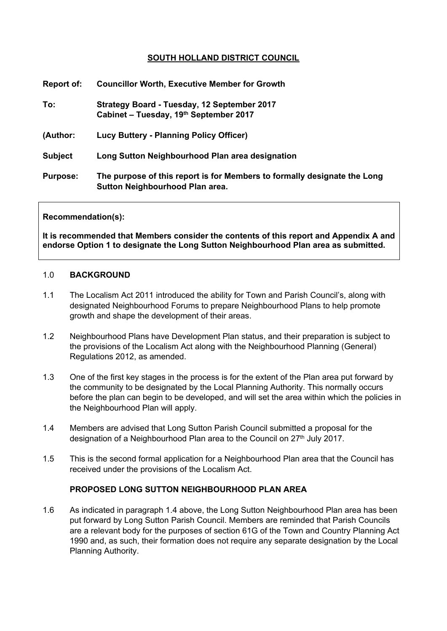# **SOUTH HOLLAND DISTRICT COUNCIL**

| Report of:      | <b>Councillor Worth, Executive Member for Growth</b>                                                        |
|-----------------|-------------------------------------------------------------------------------------------------------------|
| To:             | Strategy Board - Tuesday, 12 September 2017<br>Cabinet - Tuesday, 19th September 2017                       |
| (Author:        | <b>Lucy Buttery - Planning Policy Officer)</b>                                                              |
| <b>Subject</b>  | Long Sutton Neighbourhood Plan area designation                                                             |
| <b>Purpose:</b> | The purpose of this report is for Members to formally designate the Long<br>Sutton Neighbourhood Plan area. |

#### **Recommendation(s):**

**It is recommended that Members consider the contents of this report and Appendix A and endorse Option 1 to designate the Long Sutton Neighbourhood Plan area as submitted.**

#### 1.0 **BACKGROUND**

- 1.1 The Localism Act 2011 introduced the ability for Town and Parish Council's, along with designated Neighbourhood Forums to prepare Neighbourhood Plans to help promote growth and shape the development of their areas.
- 1.2 Neighbourhood Plans have Development Plan status, and their preparation is subject to the provisions of the Localism Act along with the Neighbourhood Planning (General) Regulations 2012, as amended.
- 1.3 One of the first key stages in the process is for the extent of the Plan area put forward by the community to be designated by the Local Planning Authority. This normally occurs before the plan can begin to be developed, and will set the area within which the policies in the Neighbourhood Plan will apply.
- 1.4 Members are advised that Long Sutton Parish Council submitted a proposal for the designation of a Neighbourhood Plan area to the Council on 27<sup>th</sup> July 2017.
- 1.5 This is the second formal application for a Neighbourhood Plan area that the Council has received under the provisions of the Localism Act.

#### **PROPOSED LONG SUTTON NEIGHBOURHOOD PLAN AREA**

1.6 As indicated in paragraph 1.4 above, the Long Sutton Neighbourhood Plan area has been put forward by Long Sutton Parish Council. Members are reminded that Parish Councils are a relevant body for the purposes of section 61G of the Town and Country Planning Act 1990 and, as such, their formation does not require any separate designation by the Local Planning Authority.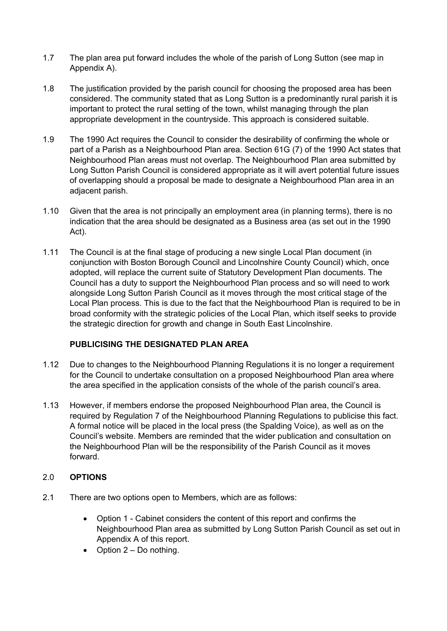- 1.7 The plan area put forward includes the whole of the parish of Long Sutton (see map in Appendix A).
- 1.8 The justification provided by the parish council for choosing the proposed area has been considered. The community stated that as Long Sutton is a predominantly rural parish it is important to protect the rural setting of the town, whilst managing through the plan appropriate development in the countryside. This approach is considered suitable.
- 1.9 The 1990 Act requires the Council to consider the desirability of confirming the whole or part of a Parish as a Neighbourhood Plan area. Section 61G (7) of the 1990 Act states that Neighbourhood Plan areas must not overlap. The Neighbourhood Plan area submitted by Long Sutton Parish Council is considered appropriate as it will avert potential future issues of overlapping should a proposal be made to designate a Neighbourhood Plan area in an adjacent parish.
- 1.10 Given that the area is not principally an employment area (in planning terms), there is no indication that the area should be designated as a Business area (as set out in the 1990 Act).
- 1.11 The Council is at the final stage of producing a new single Local Plan document (in conjunction with Boston Borough Council and Lincolnshire County Council) which, once adopted, will replace the current suite of Statutory Development Plan documents. The Council has a duty to support the Neighbourhood Plan process and so will need to work alongside Long Sutton Parish Council as it moves through the most critical stage of the Local Plan process. This is due to the fact that the Neighbourhood Plan is required to be in broad conformity with the strategic policies of the Local Plan, which itself seeks to provide the strategic direction for growth and change in South East Lincolnshire.

# **PUBLICISING THE DESIGNATED PLAN AREA**

- 1.12 Due to changes to the Neighbourhood Planning Regulations it is no longer a requirement for the Council to undertake consultation on a proposed Neighbourhood Plan area where the area specified in the application consists of the whole of the parish council's area.
- 1.13 However, if members endorse the proposed Neighbourhood Plan area, the Council is required by Regulation 7 of the Neighbourhood Planning Regulations to publicise this fact. A formal notice will be placed in the local press (the Spalding Voice), as well as on the Council's website. Members are reminded that the wider publication and consultation on the Neighbourhood Plan will be the responsibility of the Parish Council as it moves forward.

# 2.0 **OPTIONS**

- 2.1 There are two options open to Members, which are as follows:
	- Option 1 Cabinet considers the content of this report and confirms the Neighbourhood Plan area as submitted by Long Sutton Parish Council as set out in Appendix A of this report.
	- $\bullet$  Option 2 Do nothing.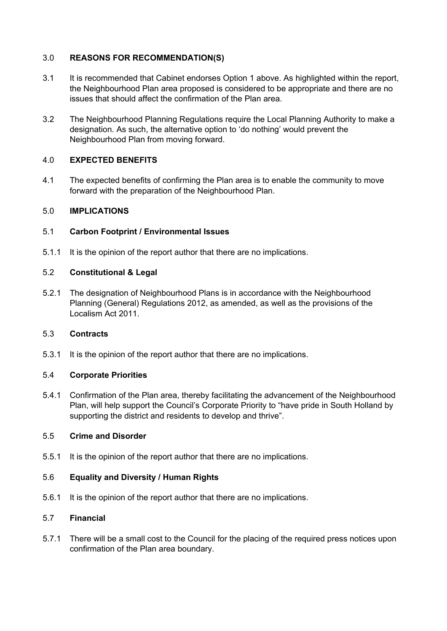# 3.0 **REASONS FOR RECOMMENDATION(S)**

- 3.1 It is recommended that Cabinet endorses Option 1 above. As highlighted within the report, the Neighbourhood Plan area proposed is considered to be appropriate and there are no issues that should affect the confirmation of the Plan area.
- 3.2 The Neighbourhood Planning Regulations require the Local Planning Authority to make a designation. As such, the alternative option to 'do nothing' would prevent the Neighbourhood Plan from moving forward.

## 4.0 **EXPECTED BENEFITS**

4.1 The expected benefits of confirming the Plan area is to enable the community to move forward with the preparation of the Neighbourhood Plan.

## 5.0 **IMPLICATIONS**

## 5.1 **Carbon Footprint / Environmental Issues**

5.1.1 It is the opinion of the report author that there are no implications.

## 5.2 **Constitutional & Legal**

5.2.1 The designation of Neighbourhood Plans is in accordance with the Neighbourhood Planning (General) Regulations 2012, as amended, as well as the provisions of the Localism Act 2011.

## 5.3 **Contracts**

5.3.1 It is the opinion of the report author that there are no implications.

## 5.4 **Corporate Priorities**

5.4.1 Confirmation of the Plan area, thereby facilitating the advancement of the Neighbourhood Plan, will help support the Council's Corporate Priority to "have pride in South Holland by supporting the district and residents to develop and thrive".

## 5.5 **Crime and Disorder**

5.5.1 It is the opinion of the report author that there are no implications.

## 5.6 **Equality and Diversity / Human Rights**

5.6.1 It is the opinion of the report author that there are no implications.

## 5.7 **Financial**

5.7.1 There will be a small cost to the Council for the placing of the required press notices upon confirmation of the Plan area boundary.